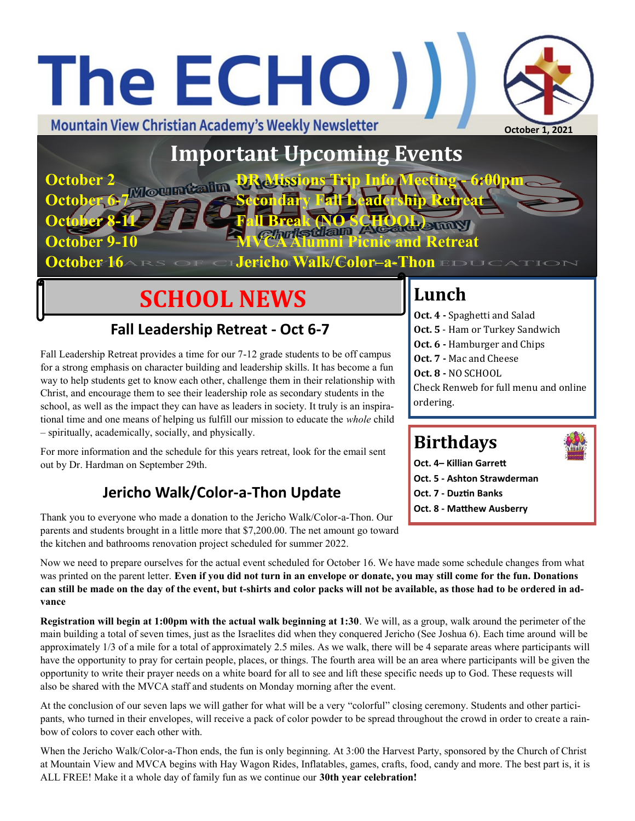# The ECHO ) **Mountain View Christian Academy's Weekly Newsletter October 1, 2021**

# **Important Upcoming Events**

**October 16** ARS OF CLUERICHO Walk/Color=a-Thon EDUCATION

**October 6-7 Secondary Fall Leadership Retreat**

**October 9-10 MVCA Alumni Picnic and Retreat**

**SCHOOL NEWS**

**October 8-11 Fall Break (NO SCHOOL)**

**October 2** Mourn California **DR Missions Trip** 

### **Fall Leadership Retreat - Oct 6-7**

Fall Leadership Retreat provides a time for our 7-12 grade students to be off campus for a strong emphasis on character building and leadership skills. It has become a fun way to help students get to know each other, challenge them in their relationship with Christ, and encourage them to see their leadership role as secondary students in the school, as well as the impact they can have as leaders in society. It truly is an inspirational time and one means of helping us fulfill our mission to educate the *whole* child – spiritually, academically, socially, and physically.

For more information and the schedule for this years retreat, look for the email sent out by Dr. Hardman on September 29th.

### **Jericho Walk/Color-a-Thon Update**

Thank you to everyone who made a donation to the Jericho Walk/Color-a-Thon. Our parents and students brought in a little more that \$7,200.00. The net amount go toward the kitchen and bathrooms renovation project scheduled for summer 2022.

# **Lunch**

**Oct. 4 -** Spaghetti and Salad **Oct. 5** - Ham or Turkey Sandwich **Oct. 6 -** Hamburger and Chips **Oct. 7 -** Mac and Cheese **Oct. 8 -** NO SCHOOL Check Renweb for full menu and online ordering.

## **Birthdays**

**Oct. 4– Killian Garrett Oct. 5 - Ashton Strawderman Oct. 7 - Duztin Banks Oct. 8 - Matthew Ausberry**

Now we need to prepare ourselves for the actual event scheduled for October 16. We have made some schedule changes from what was printed on the parent letter. **Even if you did not turn in an envelope or donate, you may still come for the fun. Donations can still be made on the day of the event, but t-shirts and color packs will not be available, as those had to be ordered in advance**

**Registration will begin at 1:00pm with the actual walk beginning at 1:30**. We will, as a group, walk around the perimeter of the main building a total of seven times, just as the Israelites did when they conquered Jericho (See Joshua 6). Each time around will be approximately 1/3 of a mile for a total of approximately 2.5 miles. As we walk, there will be 4 separate areas where participants will have the opportunity to pray for certain people, places, or things. The fourth area will be an area where participants will be given the opportunity to write their prayer needs on a white board for all to see and lift these specific needs up to God. These requests will also be shared with the MVCA staff and students on Monday morning after the event.

At the conclusion of our seven laps we will gather for what will be a very "colorful" closing ceremony. Students and other participants, who turned in their envelopes, will receive a pack of color powder to be spread throughout the crowd in order to create a rainbow of colors to cover each other with.

When the Jericho Walk/Color-a-Thon ends, the fun is only beginning. At 3:00 the Harvest Party, sponsored by the Church of Christ at Mountain View and MVCA begins with Hay Wagon Rides, Inflatables, games, crafts, food, candy and more. The best part is, it is ALL FREE! Make it a whole day of family fun as we continue our **30th year celebration!**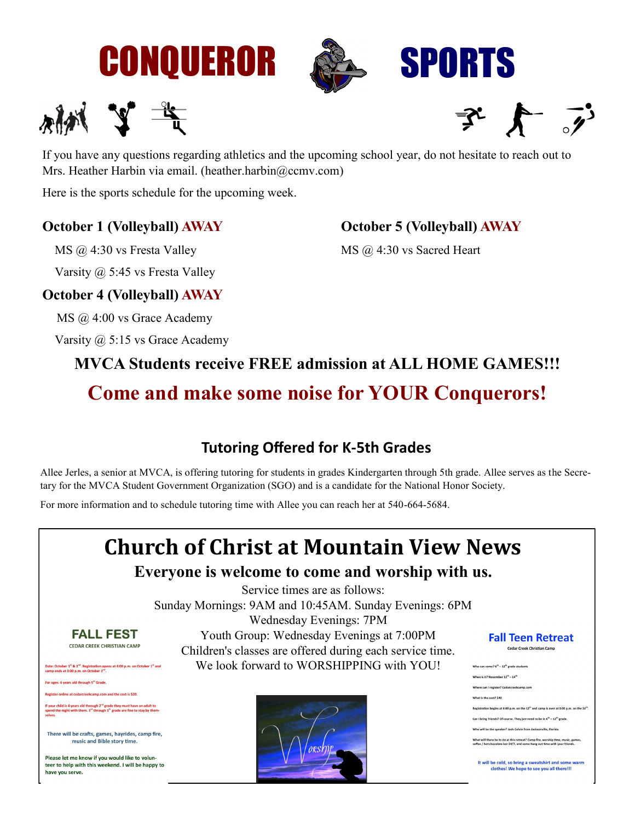# CONQUEROR SPORTS







If you have any questions regarding athletics and the upcoming school year, do not hesitate to reach out to Mrs. Heather Harbin via email. (heather.harbin@ccmv.com)

Here is the sports schedule for the upcoming week.

#### **October 1 (Volleyball) AWAY October 5 (Volleyball) AWAY**

**MS** @ 4:30 vs Fresta Valley **MS** @ 4:30 vs Sacred Heart

Varsity @ 5:45 vs Fresta Valley

#### **October 4 (Volleyball) AWAY**

MS @ 4:00 vs Grace Academy

Varsity @ 5:15 vs Grace Academy

**MVCA Students receive FREE admission at ALL HOME GAMES!!!**

# **Come and make some noise for YOUR Conquerors!**

### **Tutoring Offered for K-5th Grades**

Allee Jerles, a senior at MVCA, is offering tutoring for students in grades Kindergarten through 5th grade. Allee serves as the Secretary for the MVCA Student Government Organization (SGO) and is a candidate for the National Honor Society.

For more information and to schedule tutoring time with Allee you can reach her at 540-664-5684.

# **Church of Christ at Mountain View News**

**Everyone is welcome to come and worship with us.** 

Service times are as follows: Sunday Mornings: 9AM and 10:45AM. Sunday Evenings: 6PM

Wednesday Evenings: 7PM

Youth Group: Wednesday Evenings at 7:00PM Children's classes are offered during each service time. We look forward to WORSHIPPING with YOU!



ber 1" & 2"<sup>4</sup>. Registration opens at 4:00 p.m. on October 1" and<br>: at 3:00 p.m. on October 2<sup>nd</sup>. 4 years old through 5<sup>th</sup> Grade.

at cedarcreekcamp.com and the cost is \$20.

ears old through 2<sup>nd</sup> grade they must have an adult to<br>rith them. 3<sup>nd</sup> through 5<sup>th</sup> grade are fine to stay by them-

There will be crafts, games, hayrides, camp fire, music and Bible story time.

Please let me know if you would like to volunteer to help with this weekend. I will be happy to have you serve.



#### **Fall Teen Retreat Cedar Creek Christian Camp**

**Regi** Can

| Who can come? $6th - 12th$ grade students                                                                                                                      |
|----------------------------------------------------------------------------------------------------------------------------------------------------------------|
| When is it? November 12 <sup>th</sup> - 14 <sup>th</sup>                                                                                                       |
| Where can I register? Cedarcreekcamp.com                                                                                                                       |
| What is the cost? \$40                                                                                                                                         |
| Registration begins at 4:00 p.m. on the 12 <sup>th</sup> and camp is over at 3:00 p.m. on the 14 <sup>th</sup> .                                               |
| Can I bring friends? Of course. They just need to be in 6 <sup>th</sup> - 12 <sup>th</sup> grade.                                                              |
| Who will be the speaker? Josh Colvin from Jacksonville, Florida.                                                                                               |
| What will there be to do at this retreat? Camp fire, worship time, music, games,<br>coffee / hot chocolate bar 24/7, and some hang out time with your friends. |

It will be cold, so bring a sweatshirt and some warm clothes! We hope to see you all there!!!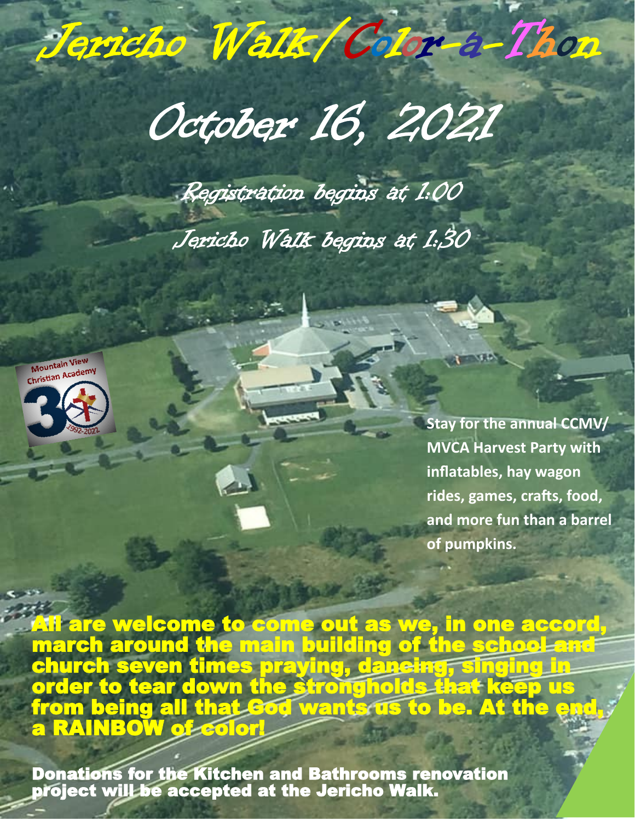

October 16, 2021

Registration begins at 1:00 Jericho Walk begins at 1:30

Mountain View Mountain Web



í

**Stay for the annual CCMV/ MVCA Harvest Party with inflatables, hay wagon rides, games, crafts, food, and more fun than a barrel of pumpkins.**

All are welcome to come out as we, in one accord, march around the main building of the school and church seven times praying, dancing, singing in order to tear down the strongholds that keep us from being all that God wants us to be. At the end, a RAINBOW of color!

Donations for the Kitchen and Bathrooms renovation project will be accepted at the Jericho Walk.